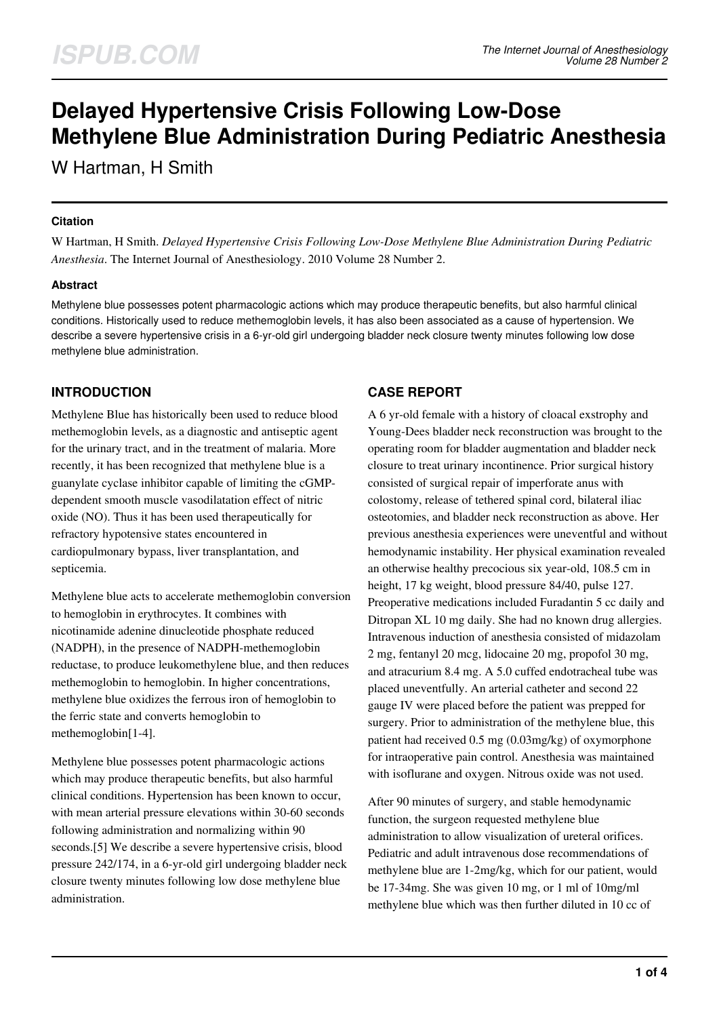# **Delayed Hypertensive Crisis Following Low-Dose Methylene Blue Administration During Pediatric Anesthesia**

W Hartman, H Smith

#### **Citation**

W Hartman, H Smith. *Delayed Hypertensive Crisis Following Low-Dose Methylene Blue Administration During Pediatric Anesthesia*. The Internet Journal of Anesthesiology. 2010 Volume 28 Number 2.

### **Abstract**

Methylene blue possesses potent pharmacologic actions which may produce therapeutic benefits, but also harmful clinical conditions. Historically used to reduce methemoglobin levels, it has also been associated as a cause of hypertension. We describe a severe hypertensive crisis in a 6-yr-old girl undergoing bladder neck closure twenty minutes following low dose methylene blue administration.

# **INTRODUCTION**

Methylene Blue has historically been used to reduce blood methemoglobin levels, as a diagnostic and antiseptic agent for the urinary tract, and in the treatment of malaria. More recently, it has been recognized that methylene blue is a guanylate cyclase inhibitor capable of limiting the cGMPdependent smooth muscle vasodilatation effect of nitric oxide (NO). Thus it has been used therapeutically for refractory hypotensive states encountered in cardiopulmonary bypass, liver transplantation, and septicemia.

Methylene blue acts to accelerate methemoglobin conversion to hemoglobin in erythrocytes. It combines with nicotinamide adenine dinucleotide phosphate reduced (NADPH), in the presence of NADPH-methemoglobin reductase, to produce leukomethylene blue, and then reduces methemoglobin to hemoglobin. In higher concentrations, methylene blue oxidizes the ferrous iron of hemoglobin to the ferric state and converts hemoglobin to methemoglobin[1-4].

Methylene blue possesses potent pharmacologic actions which may produce therapeutic benefits, but also harmful clinical conditions. Hypertension has been known to occur, with mean arterial pressure elevations within 30-60 seconds following administration and normalizing within 90 seconds.[5] We describe a severe hypertensive crisis, blood pressure 242/174, in a 6-yr-old girl undergoing bladder neck closure twenty minutes following low dose methylene blue administration.

### **CASE REPORT**

A 6 yr-old female with a history of cloacal exstrophy and Young-Dees bladder neck reconstruction was brought to the operating room for bladder augmentation and bladder neck closure to treat urinary incontinence. Prior surgical history consisted of surgical repair of imperforate anus with colostomy, release of tethered spinal cord, bilateral iliac osteotomies, and bladder neck reconstruction as above. Her previous anesthesia experiences were uneventful and without hemodynamic instability. Her physical examination revealed an otherwise healthy precocious six year-old, 108.5 cm in height, 17 kg weight, blood pressure 84/40, pulse 127. Preoperative medications included Furadantin 5 cc daily and Ditropan XL 10 mg daily. She had no known drug allergies. Intravenous induction of anesthesia consisted of midazolam 2 mg, fentanyl 20 mcg, lidocaine 20 mg, propofol 30 mg, and atracurium 8.4 mg. A 5.0 cuffed endotracheal tube was placed uneventfully. An arterial catheter and second 22 gauge IV were placed before the patient was prepped for surgery. Prior to administration of the methylene blue, this patient had received 0.5 mg (0.03mg/kg) of oxymorphone for intraoperative pain control. Anesthesia was maintained with isoflurane and oxygen. Nitrous oxide was not used.

After 90 minutes of surgery, and stable hemodynamic function, the surgeon requested methylene blue administration to allow visualization of ureteral orifices. Pediatric and adult intravenous dose recommendations of methylene blue are 1-2mg/kg, which for our patient, would be 17-34mg. She was given 10 mg, or 1 ml of 10mg/ml methylene blue which was then further diluted in 10 cc of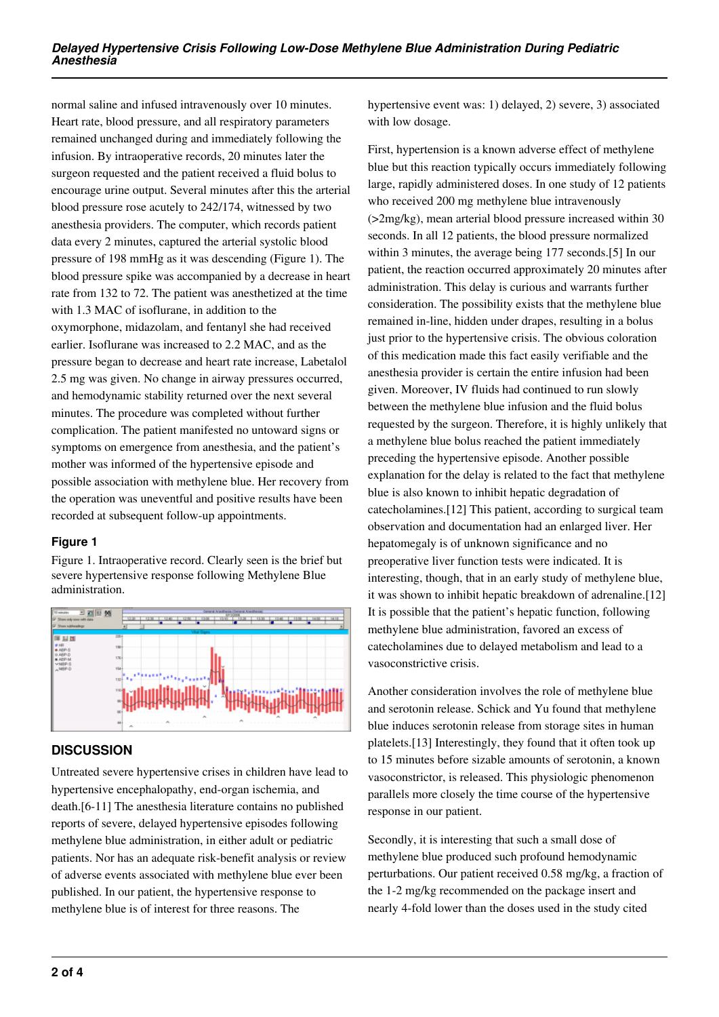normal saline and infused intravenously over 10 minutes. Heart rate, blood pressure, and all respiratory parameters remained unchanged during and immediately following the infusion. By intraoperative records, 20 minutes later the surgeon requested and the patient received a fluid bolus to encourage urine output. Several minutes after this the arterial blood pressure rose acutely to 242/174, witnessed by two anesthesia providers. The computer, which records patient data every 2 minutes, captured the arterial systolic blood pressure of 198 mmHg as it was descending (Figure 1). The blood pressure spike was accompanied by a decrease in heart rate from 132 to 72. The patient was anesthetized at the time with 1.3 MAC of isoflurane, in addition to the oxymorphone, midazolam, and fentanyl she had received earlier. Isoflurane was increased to 2.2 MAC, and as the pressure began to decrease and heart rate increase, Labetalol 2.5 mg was given. No change in airway pressures occurred, and hemodynamic stability returned over the next several minutes. The procedure was completed without further complication. The patient manifested no untoward signs or symptoms on emergence from anesthesia, and the patient's mother was informed of the hypertensive episode and possible association with methylene blue. Her recovery from the operation was uneventful and positive results have been recorded at subsequent follow-up appointments.

### **Figure 1**

Figure 1. Intraoperative record. Clearly seen is the brief but severe hypertensive response following Methylene Blue administration.



# **DISCUSSION**

Untreated severe hypertensive crises in children have lead to hypertensive encephalopathy, end-organ ischemia, and death.[6-11] The anesthesia literature contains no published reports of severe, delayed hypertensive episodes following methylene blue administration, in either adult or pediatric patients. Nor has an adequate risk-benefit analysis or review of adverse events associated with methylene blue ever been published. In our patient, the hypertensive response to methylene blue is of interest for three reasons. The

hypertensive event was: 1) delayed, 2) severe, 3) associated with low dosage.

First, hypertension is a known adverse effect of methylene blue but this reaction typically occurs immediately following large, rapidly administered doses. In one study of 12 patients who received 200 mg methylene blue intravenously (>2mg/kg), mean arterial blood pressure increased within 30 seconds. In all 12 patients, the blood pressure normalized within 3 minutes, the average being 177 seconds.[5] In our patient, the reaction occurred approximately 20 minutes after administration. This delay is curious and warrants further consideration. The possibility exists that the methylene blue remained in-line, hidden under drapes, resulting in a bolus just prior to the hypertensive crisis. The obvious coloration of this medication made this fact easily verifiable and the anesthesia provider is certain the entire infusion had been given. Moreover, IV fluids had continued to run slowly between the methylene blue infusion and the fluid bolus requested by the surgeon. Therefore, it is highly unlikely that a methylene blue bolus reached the patient immediately preceding the hypertensive episode. Another possible explanation for the delay is related to the fact that methylene blue is also known to inhibit hepatic degradation of catecholamines.[12] This patient, according to surgical team observation and documentation had an enlarged liver. Her hepatomegaly is of unknown significance and no preoperative liver function tests were indicated. It is interesting, though, that in an early study of methylene blue, it was shown to inhibit hepatic breakdown of adrenaline.[12] It is possible that the patient's hepatic function, following methylene blue administration, favored an excess of catecholamines due to delayed metabolism and lead to a vasoconstrictive crisis.

Another consideration involves the role of methylene blue and serotonin release. Schick and Yu found that methylene blue induces serotonin release from storage sites in human platelets.[13] Interestingly, they found that it often took up to 15 minutes before sizable amounts of serotonin, a known vasoconstrictor, is released. This physiologic phenomenon parallels more closely the time course of the hypertensive response in our patient.

Secondly, it is interesting that such a small dose of methylene blue produced such profound hemodynamic perturbations. Our patient received 0.58 mg/kg, a fraction of the 1-2 mg/kg recommended on the package insert and nearly 4-fold lower than the doses used in the study cited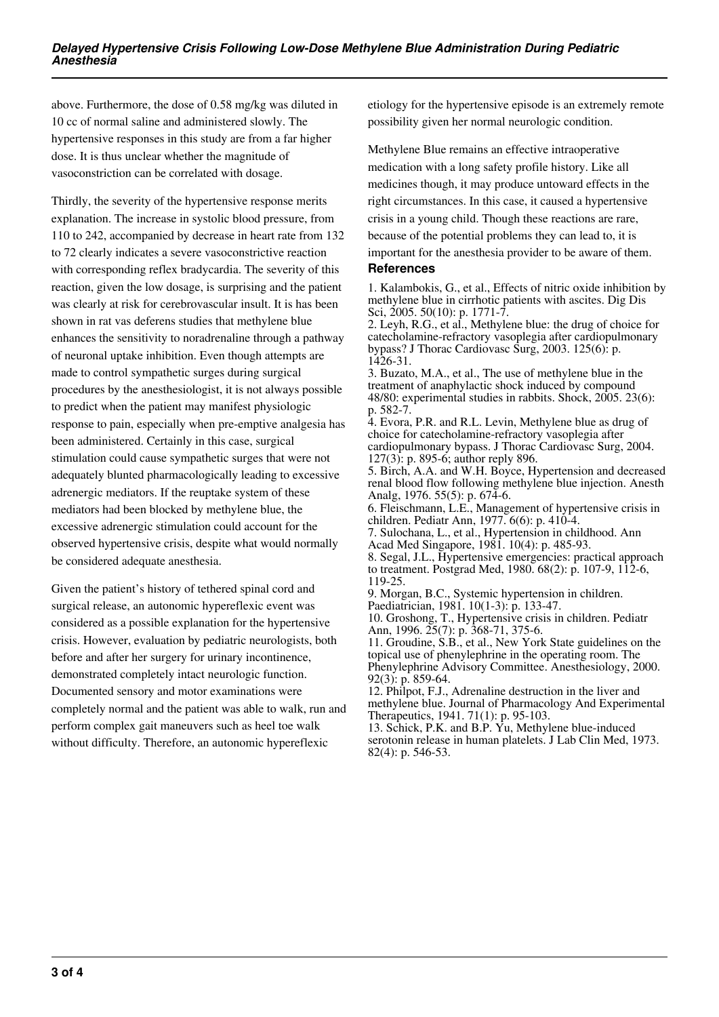above. Furthermore, the dose of 0.58 mg/kg was diluted in 10 cc of normal saline and administered slowly. The hypertensive responses in this study are from a far higher dose. It is thus unclear whether the magnitude of vasoconstriction can be correlated with dosage.

Thirdly, the severity of the hypertensive response merits explanation. The increase in systolic blood pressure, from 110 to 242, accompanied by decrease in heart rate from 132 to 72 clearly indicates a severe vasoconstrictive reaction with corresponding reflex bradycardia. The severity of this reaction, given the low dosage, is surprising and the patient was clearly at risk for cerebrovascular insult. It is has been shown in rat vas deferens studies that methylene blue enhances the sensitivity to noradrenaline through a pathway of neuronal uptake inhibition. Even though attempts are made to control sympathetic surges during surgical procedures by the anesthesiologist, it is not always possible to predict when the patient may manifest physiologic response to pain, especially when pre-emptive analgesia has been administered. Certainly in this case, surgical stimulation could cause sympathetic surges that were not adequately blunted pharmacologically leading to excessive adrenergic mediators. If the reuptake system of these mediators had been blocked by methylene blue, the excessive adrenergic stimulation could account for the observed hypertensive crisis, despite what would normally be considered adequate anesthesia.

Given the patient's history of tethered spinal cord and surgical release, an autonomic hypereflexic event was considered as a possible explanation for the hypertensive crisis. However, evaluation by pediatric neurologists, both before and after her surgery for urinary incontinence, demonstrated completely intact neurologic function. Documented sensory and motor examinations were completely normal and the patient was able to walk, run and perform complex gait maneuvers such as heel toe walk without difficulty. Therefore, an autonomic hypereflexic

etiology for the hypertensive episode is an extremely remote possibility given her normal neurologic condition.

Methylene Blue remains an effective intraoperative medication with a long safety profile history. Like all medicines though, it may produce untoward effects in the right circumstances. In this case, it caused a hypertensive crisis in a young child. Though these reactions are rare, because of the potential problems they can lead to, it is important for the anesthesia provider to be aware of them.

#### **References**

1. Kalambokis, G., et al., Effects of nitric oxide inhibition by methylene blue in cirrhotic patients with ascites. Dig Dis Sci, 2005. 50(10): p. 1771-7.

2. Leyh, R.G., et al., Methylene blue: the drug of choice for catecholamine-refractory vasoplegia after cardiopulmonary bypass? J Thorac Cardiovasc Surg, 2003. 125(6): p. 1426-31.

3. Buzato, M.A., et al., The use of methylene blue in the treatment of anaphylactic shock induced by compound 48/80: experimental studies in rabbits. Shock, 2005. 23(6): p. 582-7.

4. Evora, P.R. and R.L. Levin, Methylene blue as drug of choice for catecholamine-refractory vasoplegia after cardiopulmonary bypass. J Thorac Cardiovasc Surg, 2004. 127(3): p. 895-6; author reply 896.

5. Birch, A.A. and W.H. Boyce, Hypertension and decreased renal blood flow following methylene blue injection. Anesth Analg, 1976. 55(5): p. 674-6.

6. Fleischmann, L.E., Management of hypertensive crisis in children. Pediatr Ann, 1977. 6(6): p. 410-4.

7. Sulochana, L., et al., Hypertension in childhood. Ann Acad Med Singapore, 1981. 10(4): p. 485-93.

8. Segal, J.L., Hypertensive emergencies: practical approach to treatment. Postgrad Med, 1980. 68(2): p. 107-9, 112-6, 119-25.

9. Morgan, B.C., Systemic hypertension in children. Paediatrician, 1981. 10(1-3): p. 133-47.

10. Groshong, T., Hypertensive crisis in children. Pediatr Ann, 1996. 25(7): p. 368-71, 375-6.

11. Groudine, S.B., et al., New York State guidelines on the topical use of phenylephrine in the operating room. The Phenylephrine Advisory Committee. Anesthesiology, 2000. 92(3): p. 859-64.

12. Philpot, F.J., Adrenaline destruction in the liver and methylene blue. Journal of Pharmacology And Experimental Therapeutics, 1941. 71(1): p. 95-103.

13. Schick, P.K. and B.P. Yu, Methylene blue-induced serotonin release in human platelets. J Lab Clin Med, 1973. 82(4): p. 546-53.